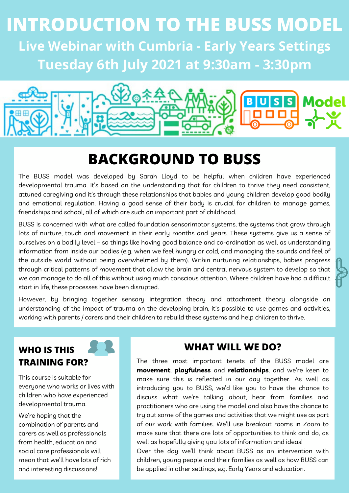## **Tuesday 6th July 2021 at 9:30am - 3:30pm INTRODUCTION TO THE BUSS MODEL Live Webinar with Cumbria - Early Years Settings**

# **Model**  $B[U[S]$

## **BACKGROUND TO BUSS**

The BUSS model was developed by Sarah Lloyd to be helpful when children have experienced developmental trauma. It's based on the understanding that for children to thrive they need consistent, attuned caregiving and it's through these relationships that babies and young children develop good bodily and emotional regulation. Having a good sense of their body is crucial for children to manage games, friendships and school, all of which are such an important part of childhood.

BUSS is concerned with what are called foundation sensorimotor systems, the systems that grow through lots of nurture, touch and movement in their early months and years. These systems give us a sense of ourselves on a bodily level – so things like having good balance and co-ordination as well as understanding information from inside our bodies (e.g. when we feel hungry or cold, and managing the sounds and feel of the outside world without being overwhelmed by them). Within nurturing relationships, babies progress through critical patterns of movement that allow the brain and central nervous system to develop so that we can manage to do all of this without using much conscious attention. Where children have had a difficult start in life, these processes have been disrupted.

However, by bringing together sensory integration theory and attachment theory alongside an understanding of the impact of trauma on the developing brain, it's possible to use games and activities, working with parents / carers and their children to rebuild these systems and help children to thrive.

#### **WHO IS THIS TRAINING FOR?**

This course is suitable for everyone who works or lives with children who have experienced developmental trauma.

We're hoping that the combination of parents and carers as well as professionals from health, education and social care professionals will mean that we'll have lots of rich and interesting discussions!

#### **WHAT WILL WE DO?**

The three most important tenets of the BUSS model are **movement**, **playfulness** and **relationships**, and we're keen to make sure this is reflected in our day together. As well as introducing you to BUSS, we'd like you to have the chance to discuss what we're talking about, hear from families and practitioners who are using the model and also have the chance to try out some of the games and activities that we might use as part of our work with families. We'll use breakout rooms in Zoom to make sure that there are lots of opportunities to think and do, as well as hopefully giving you lots of information and ideas! Over the day we'll think about BUSS as an intervention with children, young people and their families as well as how BUSS can

be applied in other settings, e.g. Early Years and education.